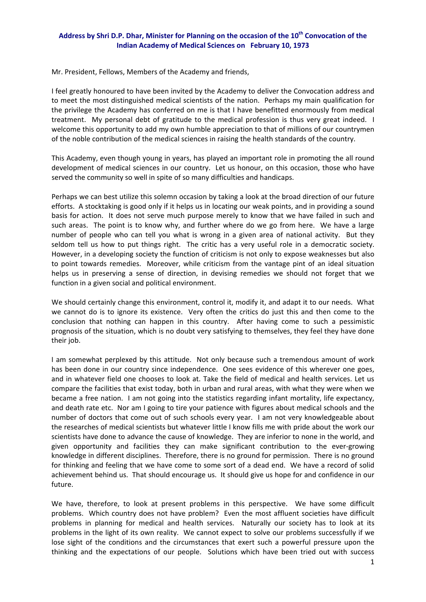## **Address by Shri D.P. Dhar, Minister for Planning on the occasion of the 10th Convocation of the Indian Academy of Medical Sciences on February 10, 1973**

Mr. President, Fellows, Members of the Academy and friends,

I feel greatly honoured to have been invited by the Academy to deliver the Convocation address and to meet the most distinguished medical scientists of the nation. Perhaps my main qualification for the privilege the Academy has conferred on me is that I have benefitted enormously from medical treatment. My personal debt of gratitude to the medical profession is thus very great indeed. I welcome this opportunity to add my own humble appreciation to that of millions of our countrymen of the noble contribution of the medical sciences in raising the health standards of the country.

This Academy, even though young in years, has played an important role in promoting the all round development of medical sciences in our country. Let us honour, on this occasion, those who have served the community so well in spite of so many difficulties and handicaps.

Perhaps we can best utilize this solemn occasion by taking a look at the broad direction of our future efforts. A stocktaking is good only if it helps us in locating our weak points, and in providing a sound basis for action. It does not serve much purpose merely to know that we have failed in such and such areas. The point is to know why, and further where do we go from here. We have a large number of people who can tell you what is wrong in a given area of national activity. But they seldom tell us how to put things right. The critic has a very useful role in a democratic society. However, in a developing society the function of criticism is not only to expose weaknesses but also to point towards remedies. Moreover, while criticism from the vantage pint of an ideal situation helps us in preserving a sense of direction, in devising remedies we should not forget that we function in a given social and political environment.

We should certainly change this environment, control it, modify it, and adapt it to our needs. What we cannot do is to ignore its existence. Very often the critics do just this and then come to the conclusion that nothing can happen in this country. After having come to such a pessimistic prognosis of the situation, which is no doubt very satisfying to themselves, they feel they have done their job.

I am somewhat perplexed by this attitude. Not only because such a tremendous amount of work has been done in our country since independence. One sees evidence of this wherever one goes, and in whatever field one chooses to look at. Take the field of medical and health services. Let us compare the facilities that exist today, both in urban and rural areas, with what they were when we became a free nation. I am not going into the statistics regarding infant mortality, life expectancy, and death rate etc. Nor am I going to tire your patience with figures about medical schools and the number of doctors that come out of such schools every year. I am not very knowledgeable about the researches of medical scientists but whatever little I know fills me with pride about the work our scientists have done to advance the cause of knowledge. They are inferior to none in the world, and given opportunity and facilities they can make significant contribution to the ever-growing knowledge in different disciplines. Therefore, there is no ground for permission. There is no ground for thinking and feeling that we have come to some sort of a dead end. We have a record of solid achievement behind us. That should encourage us. It should give us hope for and confidence in our future.

We have, therefore, to look at present problems in this perspective. We have some difficult problems. Which country does not have problem? Even the most affluent societies have difficult problems in planning for medical and health services. Naturally our society has to look at its problems in the light of its own reality. We cannot expect to solve our problems successfully if we lose sight of the conditions and the circumstances that exert such a powerful pressure upon the thinking and the expectations of our people. Solutions which have been tried out with success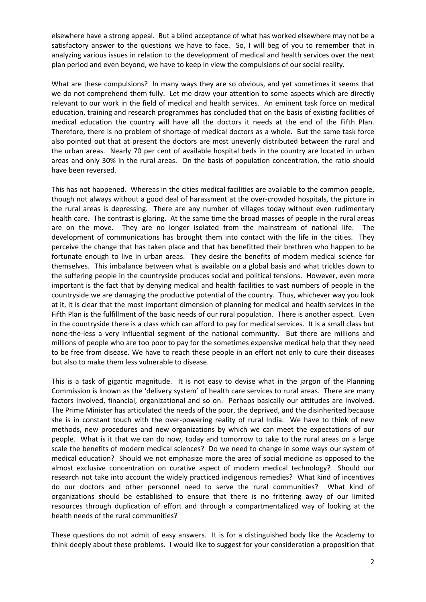elsewhere have a strong appeal. But a blind acceptance of what has worked elsewhere may not be a satisfactory answer to the questions we have to face. So, I will beg of you to remember that in analyzing various issues in relation to the development of medical and health services over the next plan period and even beyond, we have to keep in view the compulsions of our social reality.

What are these compulsions? In many ways they are so obvious, and yet sometimes it seems that we do not comprehend them fully. Let me draw your attention to some aspects which are directly relevant to our work in the field of medical and health services. An eminent task force on medical education, training and research programmes has concluded that on the basis of existing facilities of medical education the country will have all the doctors it needs at the end of the Fifth Plan. Therefore, there is no problem of shortage of medical doctors as a whole. But the same task force also pointed out that at present the doctors are most unevenly distributed between the rural and the urban areas. Nearly 70 per cent of available hospital beds in the country are located in urban areas and only 30% in the rural areas. On the basis of population concentration, the ratio should have been reversed.

This has not happened. Whereas in the cities medical facilities are available to the common people, though not always without a good deal of harassment at the over-crowded hospitals, the picture in the rural areas is depressing. There are any number of villages today without even rudimentary health care. The contrast is glaring. At the same time the broad masses of people in the rural areas are on the move. They are no longer isolated from the mainstream of national life. The development of communications has brought them into contact with the life in the cities. They perceive the change that has taken place and that has benefitted their brethren who happen to be fortunate enough to live in urban areas. They desire the benefits of modern medical science for themselves. This imbalance between what is available on a global basis and what trickles down to the suffering people in the countryside produces social and political tensions. However, even more important is the fact that by denying medical and health facilities to vast numbers of people in the countryside we are damaging the productive potential of the country. Thus, whichever way you look at it, it is clear that the most important dimension of planning for medical and health services in the Fifth Plan is the fulfillment of the basic needs of our rural population. There is another aspect. Even in the countryside there is a class which can afford to pay for medical services. It is a small class but none-the-less a very influential segment of the national community. But there are millions and millions of people who are too poor to pay for the sometimes expensive medical help that they need to be free from disease. We have to reach these people in an effort not only to cure their diseases but also to make them less vulnerable to disease.

This is a task of gigantic magnitude. It is not easy to devise what in the jargon of the Planning Commission is known as the 'delivery system' of health care services to rural areas. There are many factors involved, financial, organizational and so on. Perhaps basically our attitudes are involved. The Prime Minister has articulated the needs of the poor, the deprived, and the disinherited because she is in constant touch with the over-powering reality of rural India. We have to think of new methods, new procedures and new organizations by which we can meet the expectations of our people. What is it that we can do now, today and tomorrow to take to the rural areas on a large scale the benefits of modern medical sciences? Do we need to change in some ways our system of medical education? Should we not emphasize more the area of social medicine as opposed to the almost exclusive concentration on curative aspect of modern medical technology? Should our research not take into account the widely practiced indigenous remedies? What kind of incentives do our doctors and other personnel need to serve the rural communities? What kind of organizations should be established to ensure that there is no frittering away of our limited resources through duplication of effort and through a compartmentalized way of looking at the health needs of the rural communities?

These questions do not admit of easy answers. It is for a distinguished body like the Academy to think deeply about these problems. I would like to suggest for your consideration a proposition that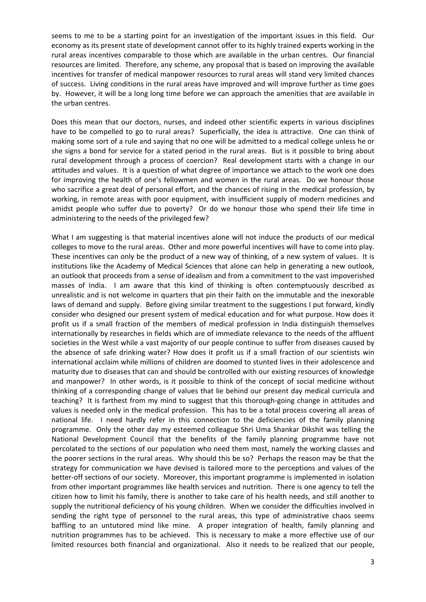seems to me to be a starting point for an investigation of the important issues in this field. Our economy as its present state of development cannot offer to its highly trained experts working in the rural areas incentives comparable to those which are available in the urban centres. Our financial resources are limited. Therefore, any scheme, any proposal that is based on improving the available incentives for transfer of medical manpower resources to rural areas will stand very limited chances of success. Living conditions in the rural areas have improved and will improve further as time goes by. However, it will be a long long time before we can approach the amenities that are available in the urban centres.

Does this mean that our doctors, nurses, and indeed other scientific experts in various disciplines have to be compelled to go to rural areas? Superficially, the idea is attractive. One can think of making some sort of a rule and saying that no one will be admitted to a medical college unless he or she signs a bond for service for a stated period in the rural areas. But is it possible to bring about rural development through a process of coercion? Real development starts with a change in our attitudes and values. It is a question of what degree of importance we attach to the work one does for improving the health of one's fellowmen and women in the rural areas. Do we honour those who sacrifice a great deal of personal effort, and the chances of rising in the medical profession, by working, in remote areas with poor equipment, with insufficient supply of modern medicines and amidst people who suffer due to poverty? Or do we honour those who spend their life time in administering to the needs of the privileged few?

What I am suggesting is that material incentives alone will not induce the products of our medical colleges to move to the rural areas. Other and more powerful incentives will have to come into play. These incentives can only be the product of a new way of thinking, of a new system of values. It is institutions like the Academy of Medical Sciences that alone can help in generating a new outlook, an outlook that proceeds from a sense of idealism and from a commitment to the vast impoverished masses of India. I am aware that this kind of thinking is often contemptuously described as unrealistic and is not welcome in quarters that pin their faith on the immutable and the inexorable laws of demand and supply. Before giving similar treatment to the suggestions I put forward, kindly consider who designed our present system of medical education and for what purpose. How does it profit us if a small fraction of the members of medical profession in India distinguish themselves internationally by researches in fields which are of immediate relevance to the needs of the affluent societies in the West while a vast majority of our people continue to suffer from diseases caused by the absence of safe drinking water? How does it profit us if a small fraction of our scientists win international acclaim while millions of children are doomed to stunted lives in their adolescence and maturity due to diseases that can and should be controlled with our existing resources of knowledge and manpower? In other words, is it possible to think of the concept of social medicine without thinking of a corresponding change of values that lie behind our present day medical curricula and teaching? It is farthest from my mind to suggest that this thorough‐going change in attitudes and values is needed only in the medical profession. This has to be a total process covering all areas of national life. I need hardly refer in this connection to the deficiencies of the family planning programme. Only the other day my esteemed colleague Shri Uma Shankar Dikshit was telling the National Development Council that the benefits of the family planning programme have not percolated to the sections of our population who need them most, namely the working classes and the poorer sections in the rural areas. Why should this be so? Perhaps the reason may be that the strategy for communication we have devised is tailored more to the perceptions and values of the better-off sections of our society. Moreover, this important programme is implemented in isolation from other important programmes like health services and nutrition. There is one agency to tell the citizen how to limit his family, there is another to take care of his health needs, and still another to supply the nutritional deficiency of his young children. When we consider the difficulties involved in sending the right type of personnel to the rural areas, this type of administrative chaos seems baffling to an untutored mind like mine. A proper integration of health, family planning and nutrition programmes has to be achieved. This is necessary to make a more effective use of our limited resources both financial and organizational. Also it needs to be realized that our people,